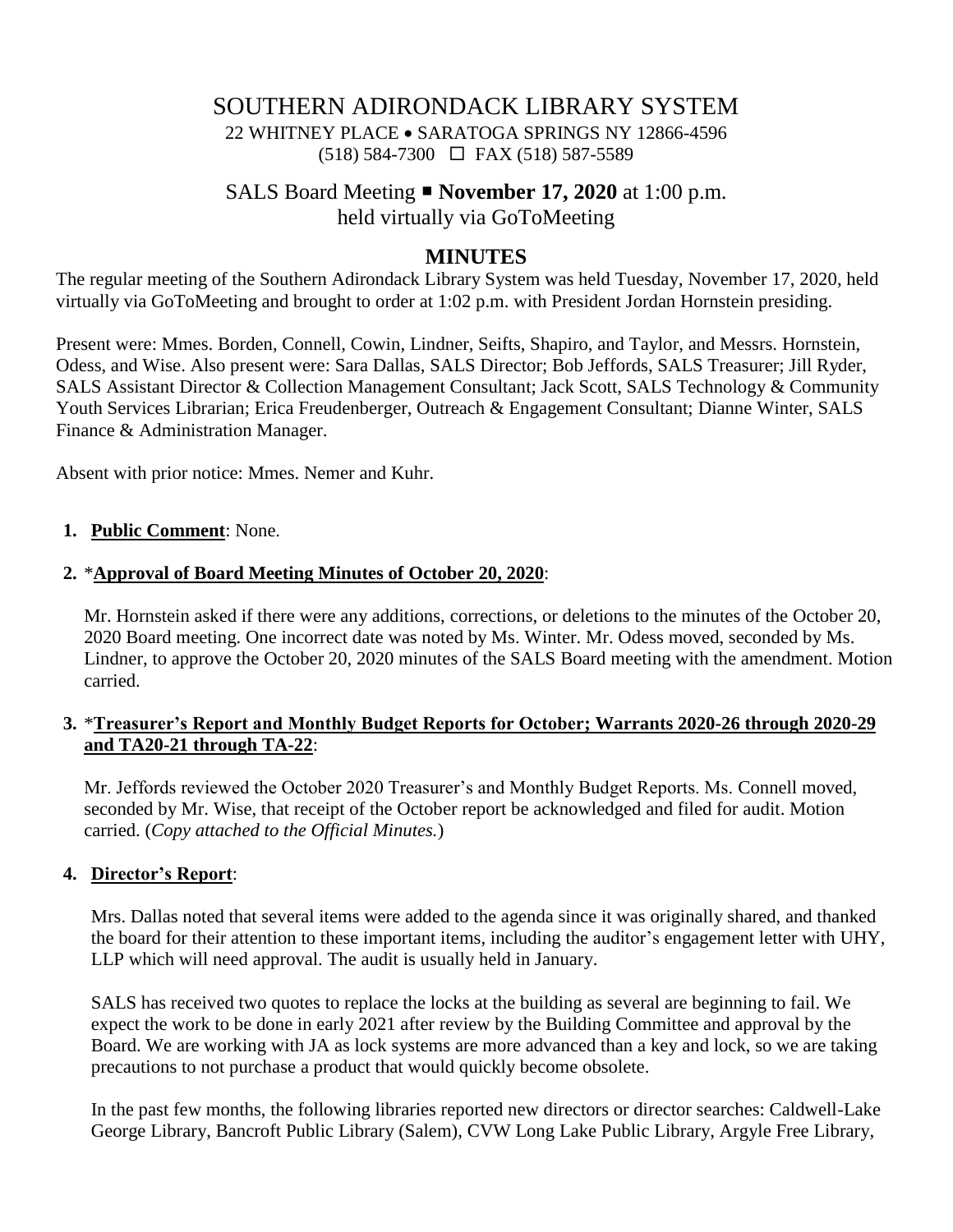# SOUTHERN ADIRONDACK LIBRARY SYSTEM 22 WHITNEY PLACE • SARATOGA SPRINGS NY 12866-4596 (518) 584-7300 FAX (518) 587-5589

# SALS Board Meeting **November 17, 2020** at 1:00 p.m. held virtually via GoToMeeting

## **MINUTES**

The regular meeting of the Southern Adirondack Library System was held Tuesday, November 17, 2020, held virtually via GoToMeeting and brought to order at 1:02 p.m. with President Jordan Hornstein presiding.

Present were: Mmes. Borden, Connell, Cowin, Lindner, Seifts, Shapiro, and Taylor, and Messrs. Hornstein, Odess, and Wise. Also present were: Sara Dallas, SALS Director; Bob Jeffords, SALS Treasurer; Jill Ryder, SALS Assistant Director & Collection Management Consultant; Jack Scott, SALS Technology & Community Youth Services Librarian; Erica Freudenberger, Outreach & Engagement Consultant; Dianne Winter, SALS Finance & Administration Manager.

Absent with prior notice: Mmes. Nemer and Kuhr.

#### **1. Public Comment**: None.

#### **2.** \***Approval of Board Meeting Minutes of October 20, 2020**:

Mr. Hornstein asked if there were any additions, corrections, or deletions to the minutes of the October 20, 2020 Board meeting. One incorrect date was noted by Ms. Winter. Mr. Odess moved, seconded by Ms. Lindner, to approve the October 20, 2020 minutes of the SALS Board meeting with the amendment. Motion carried.

### **3.** \***Treasurer's Report and Monthly Budget Reports for October; Warrants 2020-26 through 2020-29 and TA20-21 through TA-22**:

Mr. Jeffords reviewed the October 2020 Treasurer's and Monthly Budget Reports. Ms. Connell moved, seconded by Mr. Wise, that receipt of the October report be acknowledged and filed for audit. Motion carried. (*Copy attached to the Official Minutes.*)

### **4. Director's Report**:

Mrs. Dallas noted that several items were added to the agenda since it was originally shared, and thanked the board for their attention to these important items, including the auditor's engagement letter with UHY, LLP which will need approval. The audit is usually held in January.

SALS has received two quotes to replace the locks at the building as several are beginning to fail. We expect the work to be done in early 2021 after review by the Building Committee and approval by the Board. We are working with JA as lock systems are more advanced than a key and lock, so we are taking precautions to not purchase a product that would quickly become obsolete.

In the past few months, the following libraries reported new directors or director searches: Caldwell-Lake George Library, Bancroft Public Library (Salem), CVW Long Lake Public Library, Argyle Free Library,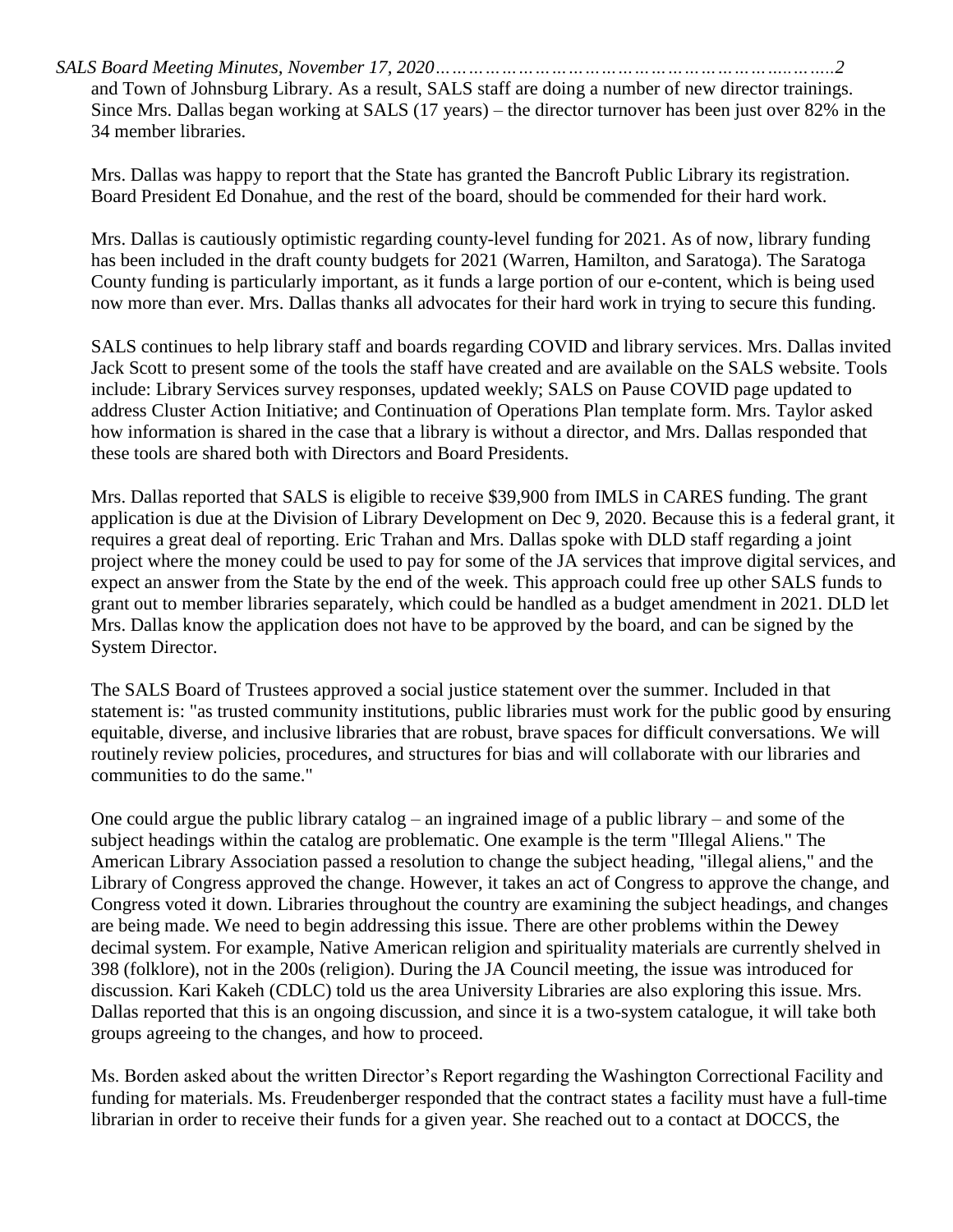*SALS Board Meeting Minutes, November 17, 2020………………………………………………………..……..2* and Town of Johnsburg Library. As a result, SALS staff are doing a number of new director trainings. Since Mrs. Dallas began working at SALS (17 years) – the director turnover has been just over 82% in the 34 member libraries.

Mrs. Dallas was happy to report that the State has granted the Bancroft Public Library its registration. Board President Ed Donahue, and the rest of the board, should be commended for their hard work.

Mrs. Dallas is cautiously optimistic regarding county-level funding for 2021. As of now, library funding has been included in the draft county budgets for 2021 (Warren, Hamilton, and Saratoga). The Saratoga County funding is particularly important, as it funds a large portion of our e-content, which is being used now more than ever. Mrs. Dallas thanks all advocates for their hard work in trying to secure this funding.

SALS continues to help library staff and boards regarding COVID and library services. Mrs. Dallas invited Jack Scott to present some of the tools the staff have created and are available on the SALS website. Tools include: Library Services survey responses, updated weekly; SALS on Pause COVID page updated to address Cluster Action Initiative; and Continuation of Operations Plan template form. Mrs. Taylor asked how information is shared in the case that a library is without a director, and Mrs. Dallas responded that these tools are shared both with Directors and Board Presidents.

Mrs. Dallas reported that SALS is eligible to receive \$39,900 from IMLS in CARES funding. The grant application is due at the Division of Library Development on Dec 9, 2020. Because this is a federal grant, it requires a great deal of reporting. Eric Trahan and Mrs. Dallas spoke with DLD staff regarding a joint project where the money could be used to pay for some of the JA services that improve digital services, and expect an answer from the State by the end of the week. This approach could free up other SALS funds to grant out to member libraries separately, which could be handled as a budget amendment in 2021. DLD let Mrs. Dallas know the application does not have to be approved by the board, and can be signed by the System Director.

The SALS Board of Trustees approved a social justice statement over the summer. Included in that statement is: "as trusted community institutions, public libraries must work for the public good by ensuring equitable, diverse, and inclusive libraries that are robust, brave spaces for difficult conversations. We will routinely review policies, procedures, and structures for bias and will collaborate with our libraries and communities to do the same."

One could argue the public library catalog – an ingrained image of a public library – and some of the subject headings within the catalog are problematic. One example is the term "Illegal Aliens." The American Library Association passed a resolution to change the subject heading, "illegal aliens," and the Library of Congress approved the change. However, it takes an act of Congress to approve the change, and Congress voted it down. Libraries throughout the country are examining the subject headings, and changes are being made. We need to begin addressing this issue. There are other problems within the Dewey decimal system. For example, Native American religion and spirituality materials are currently shelved in 398 (folklore), not in the 200s (religion). During the JA Council meeting, the issue was introduced for discussion. Kari Kakeh (CDLC) told us the area University Libraries are also exploring this issue. Mrs. Dallas reported that this is an ongoing discussion, and since it is a two-system catalogue, it will take both groups agreeing to the changes, and how to proceed.

Ms. Borden asked about the written Director's Report regarding the Washington Correctional Facility and funding for materials. Ms. Freudenberger responded that the contract states a facility must have a full-time librarian in order to receive their funds for a given year. She reached out to a contact at DOCCS, the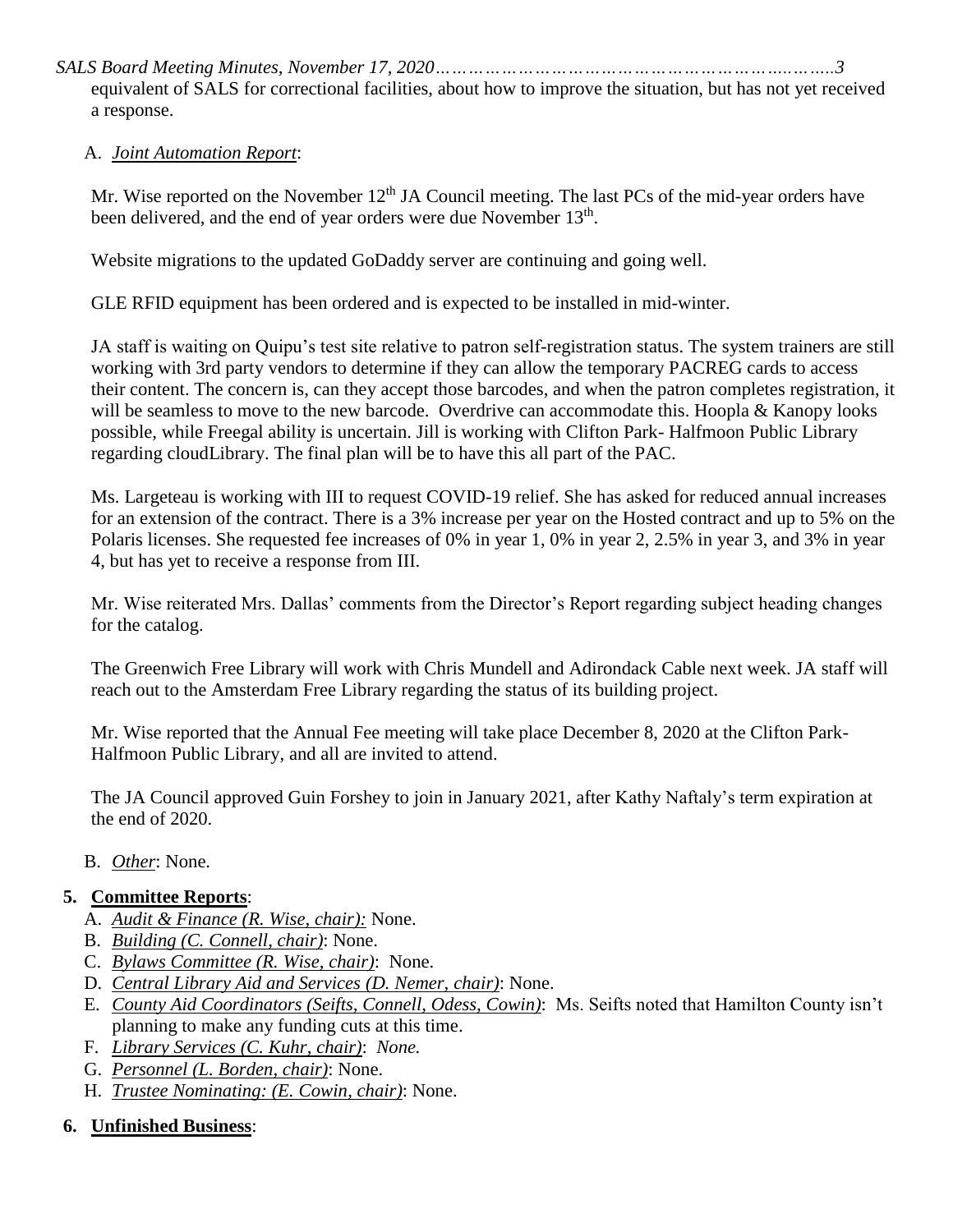*SALS Board Meeting Minutes, November 17, 2020………………………………………………………..……..3*

equivalent of SALS for correctional facilities, about how to improve the situation, but has not yet received a response.

## A. *Joint Automation Report*:

Mr. Wise reported on the November  $12<sup>th</sup>$  JA Council meeting. The last PCs of the mid-year orders have been delivered, and the end of year orders were due November 13<sup>th</sup>.

Website migrations to the updated GoDaddy server are continuing and going well.

GLE RFID equipment has been ordered and is expected to be installed in mid-winter.

JA staff is waiting on Quipu's test site relative to patron self-registration status. The system trainers are still working with 3rd party vendors to determine if they can allow the temporary PACREG cards to access their content. The concern is, can they accept those barcodes, and when the patron completes registration, it will be seamless to move to the new barcode. Overdrive can accommodate this. Hoopla & Kanopy looks possible, while Freegal ability is uncertain. Jill is working with Clifton Park- Halfmoon Public Library regarding cloudLibrary. The final plan will be to have this all part of the PAC.

Ms. Largeteau is working with III to request COVID-19 relief. She has asked for reduced annual increases for an extension of the contract. There is a 3% increase per year on the Hosted contract and up to 5% on the Polaris licenses. She requested fee increases of 0% in year 1, 0% in year 2, 2.5% in year 3, and 3% in year 4, but has yet to receive a response from III.

Mr. Wise reiterated Mrs. Dallas' comments from the Director's Report regarding subject heading changes for the catalog.

The Greenwich Free Library will work with Chris Mundell and Adirondack Cable next week. JA staff will reach out to the Amsterdam Free Library regarding the status of its building project.

Mr. Wise reported that the Annual Fee meeting will take place December 8, 2020 at the Clifton Park-Halfmoon Public Library, and all are invited to attend.

The JA Council approved Guin Forshey to join in January 2021, after Kathy Naftaly's term expiration at the end of 2020.

B. *Other*: None.

## **5. Committee Reports**:

- A. *Audit & Finance (R. Wise, chair):* None.
- B. *Building (C. Connell, chair)*: None.
- C. *Bylaws Committee (R. Wise, chair)*: None.
- D. *Central Library Aid and Services (D. Nemer, chair)*: None.
- E. *County Aid Coordinators (Seifts, Connell, Odess, Cowin)*:Ms. Seifts noted that Hamilton County isn't planning to make any funding cuts at this time.
- F. *Library Services (C. Kuhr, chair)*: *None.*
- G. *Personnel (L. Borden, chair)*: None.
- H. *Trustee Nominating: (E. Cowin, chair)*: None.

## **6. Unfinished Business**: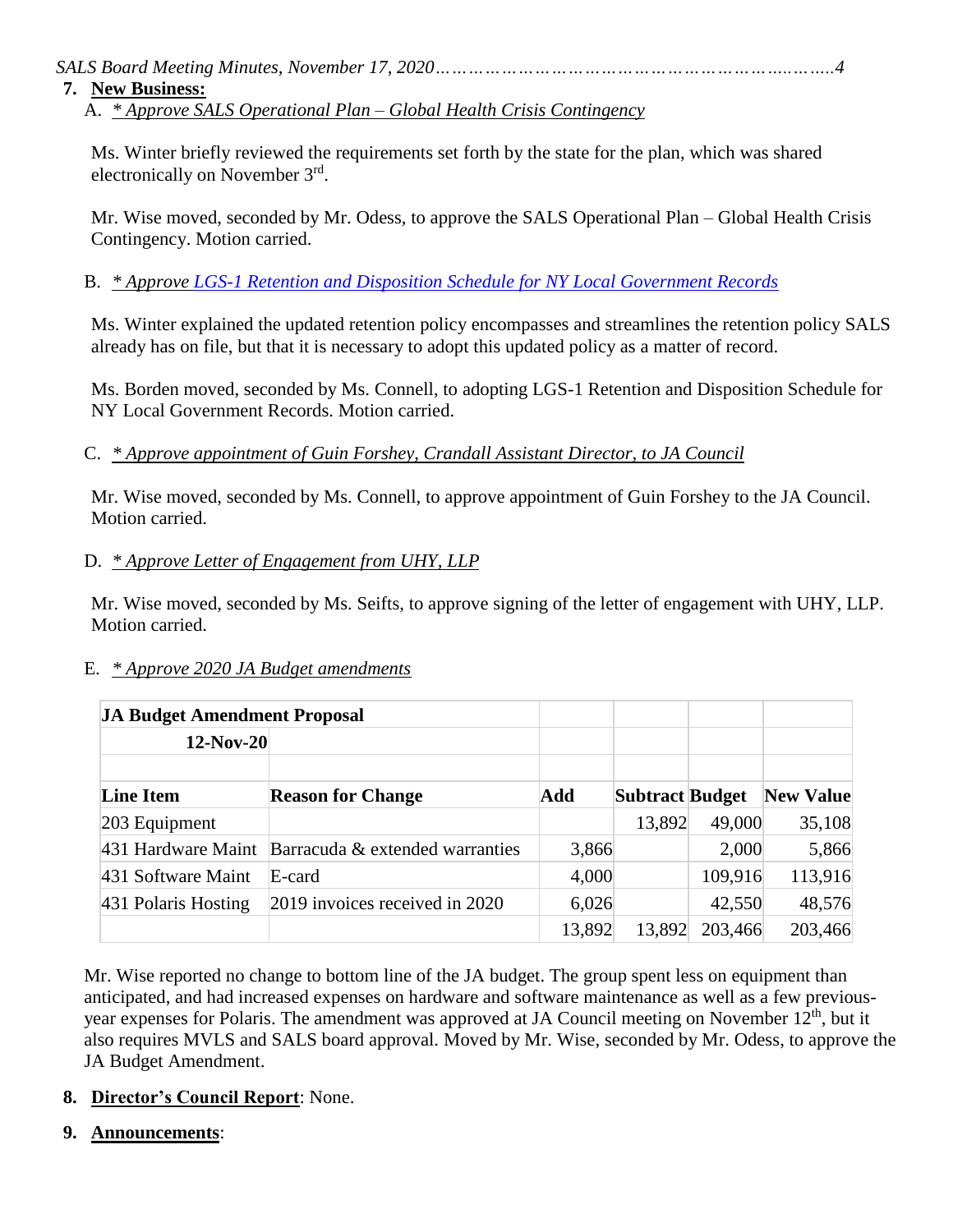*SALS Board Meeting Minutes, November 17, 2020………………………………………………………..……..4*

## **7. New Business:**

A. *\* Approve SALS Operational Plan – Global Health Crisis Contingency*

Ms. Winter briefly reviewed the requirements set forth by the state for the plan, which was shared electronically on November 3rd.

Mr. Wise moved, seconded by Mr. Odess, to approve the SALS Operational Plan – Global Health Crisis Contingency. Motion carried.

B. *\* Approve [LGS-1 Retention and Disposition Schedule for NY Local Government Records](http://www.archives.nysed.gov/records/local-government-record-schedule/lgs-1-title-page)*

Ms. Winter explained the updated retention policy encompasses and streamlines the retention policy SALS already has on file, but that it is necessary to adopt this updated policy as a matter of record.

Ms. Borden moved, seconded by Ms. Connell, to adopting LGS-1 Retention and Disposition Schedule for NY Local Government Records. Motion carried.

## C. *\* Approve appointment of Guin Forshey, Crandall Assistant Director, to JA Council*

Mr. Wise moved, seconded by Ms. Connell, to approve appointment of Guin Forshey to the JA Council. Motion carried.

## D. *\* Approve Letter of Engagement from UHY, LLP*

Mr. Wise moved, seconded by Ms. Seifts, to approve signing of the letter of engagement with UHY, LLP. Motion carried.

### E. *\* Approve 2020 JA Budget amendments*

| <b>JA Budget Amendment Proposal</b> |                                    |        |                        |         |                  |
|-------------------------------------|------------------------------------|--------|------------------------|---------|------------------|
| 12-Nov-20                           |                                    |        |                        |         |                  |
| <b>Line Item</b>                    | <b>Reason for Change</b>           | Add    | <b>Subtract Budget</b> |         | <b>New Value</b> |
| 203 Equipment                       |                                    |        | 13,892                 | 49,000  | 35,108           |
| 431 Hardware Maint                  | Barracuda $\&$ extended warranties | 3,866  |                        | 2,000   | 5,866            |
| 431 Software Maint                  | E-card                             | 4,000  |                        | 109,916 | 113,916          |
| 431 Polaris Hosting                 | 2019 invoices received in 2020     | 6,026  |                        | 42,550  | 48,576           |
|                                     |                                    | 13,892 | 13,892                 | 203,466 | 203,466          |

Mr. Wise reported no change to bottom line of the JA budget. The group spent less on equipment than anticipated, and had increased expenses on hardware and software maintenance as well as a few previousyear expenses for Polaris. The amendment was approved at JA Council meeting on November 12<sup>th</sup>, but it also requires MVLS and SALS board approval. Moved by Mr. Wise, seconded by Mr. Odess, to approve the JA Budget Amendment.

### **8. Director's Council Report**: None.

**9. Announcements**: